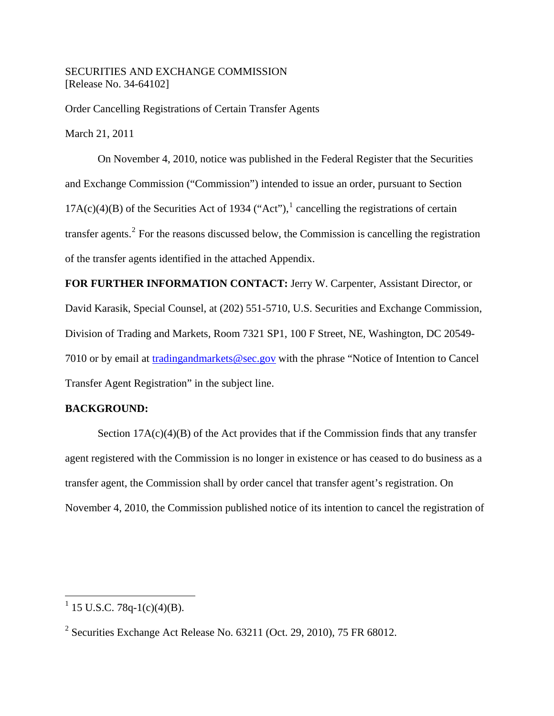## SECURITIES AND EXCHANGE COMMISSION [Release No. 34-64102]

Order Cancelling Registrations of Certain Transfer Agents

March 21, 2011

 On November 4, 2010, notice was published in the Federal Register that the Securities and Exchange Commission ("Commission") intended to issue an order, pursuant to Section  $17A(c)(4)(B)$  $17A(c)(4)(B)$  of the Securities Act of 1934 ("Act"),<sup>1</sup> cancelling the registrations of certain transfer agents.<sup>[2](#page-0-1)</sup> For the reasons discussed below, the Commission is cancelling the registration of the transfer agents identified in the attached Appendix.

**FOR FURTHER INFORMATION CONTACT:** Jerry W. Carpenter, Assistant Director, or David Karasik, Special Counsel, at (202) 551-5710, U.S. Securities and Exchange Commission, Division of Trading and Markets, Room 7321 SP1, 100 F Street, NE, Washington, DC 20549- 7010 or by email at tradingandmarkets@sec.gov with the phrase "Notice of Intention to Cancel Transfer Agent Registration" in the subject line.

## **BACKGROUND:**

Section  $17A(c)(4)(B)$  of the Act provides that if the Commission finds that any transfer agent registered with the Commission is no longer in existence or has ceased to do business as a transfer agent, the Commission shall by order cancel that transfer agent's registration. On November 4, 2010, the Commission published notice of its intention to cancel the registration of

1

<span id="page-0-0"></span> $1$  15 U.S.C. 78q-1(c)(4)(B).

<span id="page-0-1"></span><sup>&</sup>lt;sup>2</sup> Securities Exchange Act Release No. 63211 (Oct. 29, 2010), 75 FR 68012.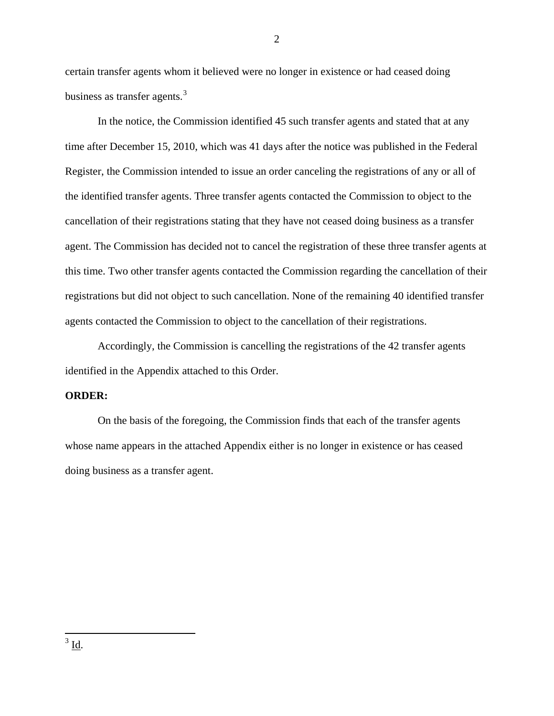certain transfer agents whom it believed were no longer in existence or had ceased doing business as transfer agents.<sup>[3](#page-1-0)</sup>

In the notice, the Commission identified 45 such transfer agents and stated that at any time after December 15, 2010, which was 41 days after the notice was published in the Federal Register, the Commission intended to issue an order canceling the registrations of any or all of the identified transfer agents. Three transfer agents contacted the Commission to object to the cancellation of their registrations stating that they have not ceased doing business as a transfer agent. The Commission has decided not to cancel the registration of these three transfer agents at this time. Two other transfer agents contacted the Commission regarding the cancellation of their registrations but did not object to such cancellation. None of the remaining 40 identified transfer agents contacted the Commission to object to the cancellation of their registrations.

Accordingly, the Commission is cancelling the registrations of the 42 transfer agents identified in the Appendix attached to this Order.

## **ORDER:**

On the basis of the foregoing, the Commission finds that each of the transfer agents whose name appears in the attached Appendix either is no longer in existence or has ceased doing business as a transfer agent.

2

<span id="page-1-0"></span> $\overline{a}$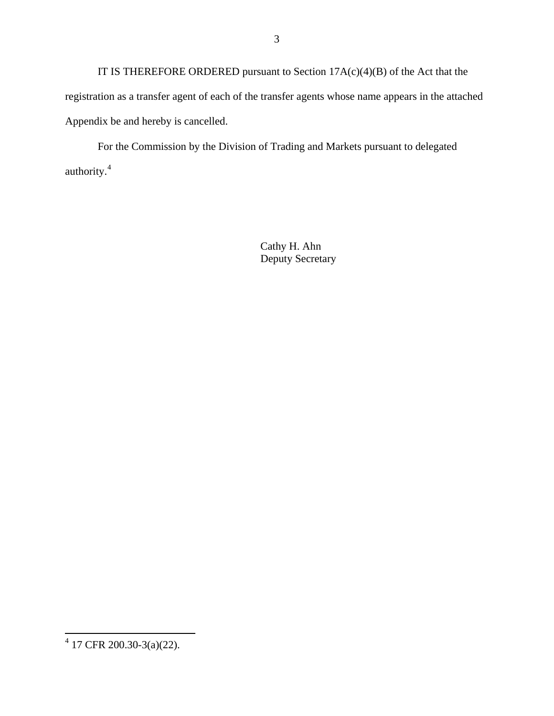IT IS THEREFORE ORDERED pursuant to Section 17A(c)(4)(B) of the Act that the registration as a transfer agent of each of the transfer agents whose name appears in the attached Appendix be and hereby is cancelled.

For the Commission by the Division of Trading and Markets pursuant to delegated authority.<sup>[4](#page-2-0)</sup>

> Cathy H. Ahn Deputy Secretary

<span id="page-2-0"></span> 4 17 CFR 200.30-3(a)(22).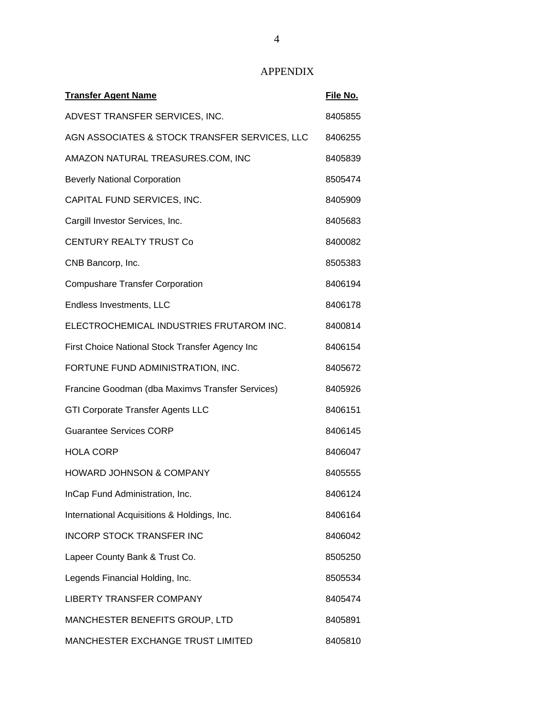## APPENDIX

| <b>Transfer Agent Name</b>                       | File No. |
|--------------------------------------------------|----------|
| ADVEST TRANSFER SERVICES, INC.                   | 8405855  |
| AGN ASSOCIATES & STOCK TRANSFER SERVICES, LLC    | 8406255  |
| AMAZON NATURAL TREASURES.COM, INC                | 8405839  |
| <b>Beverly National Corporation</b>              | 8505474  |
| CAPITAL FUND SERVICES, INC.                      | 8405909  |
| Cargill Investor Services, Inc.                  | 8405683  |
| <b>CENTURY REALTY TRUST Co</b>                   | 8400082  |
| CNB Bancorp, Inc.                                | 8505383  |
| <b>Compushare Transfer Corporation</b>           | 8406194  |
| Endless Investments, LLC                         | 8406178  |
| ELECTROCHEMICAL INDUSTRIES FRUTAROM INC.         | 8400814  |
| First Choice National Stock Transfer Agency Inc  | 8406154  |
| FORTUNE FUND ADMINISTRATION, INC.                | 8405672  |
| Francine Goodman (dba Maximvs Transfer Services) | 8405926  |
| <b>GTI Corporate Transfer Agents LLC</b>         | 8406151  |
| <b>Guarantee Services CORP</b>                   | 8406145  |
| <b>HOLA CORP</b>                                 | 8406047  |
| <b>HOWARD JOHNSON &amp; COMPANY</b>              | 8405555  |
| InCap Fund Administration, Inc.                  | 8406124  |
| International Acquisitions & Holdings, Inc.      | 8406164  |
| <b>INCORP STOCK TRANSFER INC</b>                 | 8406042  |
| Lapeer County Bank & Trust Co.                   | 8505250  |
| Legends Financial Holding, Inc.                  | 8505534  |
| <b>LIBERTY TRANSFER COMPANY</b>                  | 8405474  |
| MANCHESTER BENEFITS GROUP, LTD                   | 8405891  |
| MANCHESTER EXCHANGE TRUST LIMITED                | 8405810  |